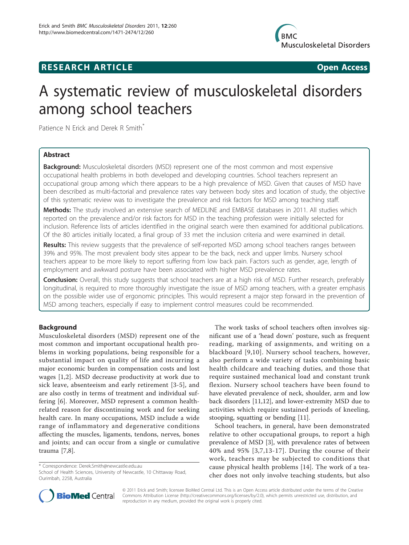

# **RESEARCH ARTICLE Example 2018 Open Access**



# A systematic review of musculoskeletal disorders among school teachers

Patience N Erick and Derek R Smith\*

# Abstract

**Background:** Musculoskeletal disorders (MSD) represent one of the most common and most expensive occupational health problems in both developed and developing countries. School teachers represent an occupational group among which there appears to be a high prevalence of MSD. Given that causes of MSD have been described as multi-factorial and prevalence rates vary between body sites and location of study, the objective of this systematic review was to investigate the prevalence and risk factors for MSD among teaching staff.

Methods: The study involved an extensive search of MEDLINE and EMBASE databases in 2011. All studies which reported on the prevalence and/or risk factors for MSD in the teaching profession were initially selected for inclusion. Reference lists of articles identified in the original search were then examined for additional publications. Of the 80 articles initially located, a final group of 33 met the inclusion criteria and were examined in detail.

Results: This review suggests that the prevalence of self-reported MSD among school teachers ranges between 39% and 95%. The most prevalent body sites appear to be the back, neck and upper limbs. Nursery school teachers appear to be more likely to report suffering from low back pain. Factors such as gender, age, length of employment and awkward posture have been associated with higher MSD prevalence rates.

Conclusion: Overall, this study suggests that school teachers are at a high risk of MSD. Further research, preferably longitudinal, is required to more thoroughly investigate the issue of MSD among teachers, with a greater emphasis on the possible wider use of ergonomic principles. This would represent a major step forward in the prevention of MSD among teachers, especially if easy to implement control measures could be recommended.

# Background

Musculoskeletal disorders (MSD) represent one of the most common and important occupational health problems in working populations, being responsible for a substantial impact on quality of life and incurring a major economic burden in compensation costs and lost wages [\[1,2](#page-10-0)]. MSD decrease productivity at work due to sick leave, absenteeism and early retirement [[3](#page-10-0)-[5](#page-10-0)], and are also costly in terms of treatment and individual suffering [\[6](#page-10-0)]. Moreover, MSD represent a common healthrelated reason for discontinuing work and for seeking health care. In many occupations, MSD include a wide range of inflammatory and degenerative conditions affecting the muscles, ligaments, tendons, nerves, bones and joints; and can occur from a single or cumulative trauma [\[7,8\]](#page-10-0).

\* Correspondence: [Derek.Smith@newcastle.edu.au](mailto:Derek.Smith@newcastle.edu.au)

The work tasks of school teachers often involves significant use of a 'head down' posture, such as frequent reading, marking of assignments, and writing on a blackboard [[9](#page-10-0),[10](#page-10-0)]. Nursery school teachers, however, also perform a wide variety of tasks combining basic health childcare and teaching duties, and those that require sustained mechanical load and constant trunk flexion. Nursery school teachers have been found to have elevated prevalence of neck, shoulder, arm and low back disorders [[11,12](#page-10-0)], and lower-extremity MSD due to activities which require sustained periods of kneeling, stooping, squatting or bending [[11\]](#page-10-0).

School teachers, in general, have been demonstrated relative to other occupational groups, to report a high prevalence of MSD [\[3\]](#page-10-0), with prevalence rates of between 40% and 95% [[3,7,13-17](#page-10-0)]. During the course of their work, teachers may be subjected to conditions that cause physical health problems [[14\]](#page-10-0). The work of a teacher does not only involve teaching students, but also



© 2011 Erick and Smith; licensee BioMed Central Ltd. This is an Open Access article distributed under the terms of the Creative Commons Attribution License [\(http://creativecommons.org/licenses/by/2.0](http://creativecommons.org/licenses/by/2.0)), which permits unrestricted use, distribution, and reproduction in any medium, provided the original work is properly cited.

School of Health Sciences, University of Newcastle, 10 Chittaway Road, Ourimbah, 2258, Australia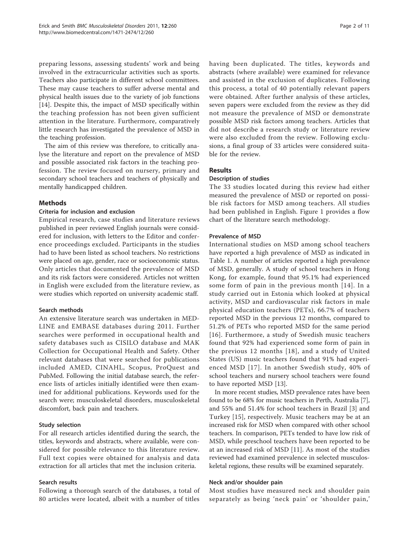preparing lessons, assessing students' work and being involved in the extracurricular activities such as sports. Teachers also participate in different school committees. These may cause teachers to suffer adverse mental and physical health issues due to the variety of job functions [[14\]](#page-10-0). Despite this, the impact of MSD specifically within the teaching profession has not been given sufficient attention in the literature. Furthermore, comparatively little research has investigated the prevalence of MSD in the teaching profession.

The aim of this review was therefore, to critically analyse the literature and report on the prevalence of MSD and possible associated risk factors in the teaching profession. The review focused on nursery, primary and secondary school teachers and teachers of physically and mentally handicapped children.

#### Methods

### Criteria for inclusion and exclusion

Empirical research, case studies and literature reviews published in peer reviewed English journals were considered for inclusion, with letters to the Editor and conference proceedings excluded. Participants in the studies had to have been listed as school teachers. No restrictions were placed on age, gender, race or socioeconomic status. Only articles that documented the prevalence of MSD and its risk factors were considered. Articles not written in English were excluded from the literature review, as were studies which reported on university academic staff.

#### Search methods

An extensive literature search was undertaken in MED-LINE and EMBASE databases during 2011. Further searches were performed in occupational health and safety databases such as CISILO database and MAK Collection for Occupational Health and Safety. Other relevant databases that were searched for publications included AMED, CINAHL, Scopus, ProQuest and PubMed. Following the initial database search, the reference lists of articles initially identified were then examined for additional publications. Keywords used for the search were; musculoskeletal disorders, musculoskeletal discomfort, back pain and teachers.

#### Study selection

For all research articles identified during the search, the titles, keywords and abstracts, where available, were considered for possible relevance to this literature review. Full text copies were obtained for analysis and data extraction for all articles that met the inclusion criteria.

#### Search results

Following a thorough search of the databases, a total of 80 articles were located, albeit with a number of titles having been duplicated. The titles, keywords and abstracts (where available) were examined for relevance and assisted in the exclusion of duplicates. Following this process, a total of 40 potentially relevant papers were obtained. After further analysis of these articles, seven papers were excluded from the review as they did not measure the prevalence of MSD or demonstrate possible MSD risk factors among teachers. Articles that did not describe a research study or literature review were also excluded from the review. Following exclusions, a final group of 33 articles were considered suitable for the review.

## Results

#### Description of studies

The 33 studies located during this review had either measured the prevalence of MSD or reported on possible risk factors for MSD among teachers. All studies had been published in English. Figure [1](#page-2-0) provides a flow chart of the literature search methodology.

#### Prevalence of MSD

International studies on MSD among school teachers have reported a high prevalence of MSD as indicated in Table [1.](#page-3-0) A number of articles reported a high prevalence of MSD, generally. A study of school teachers in Hong Kong, for example, found that 95.1% had experienced some form of pain in the previous month [\[14](#page-10-0)]. In a study carried out in Estonia which looked at physical activity, MSD and cardiovascular risk factors in male physical education teachers (PETs), 66.7% of teachers reported MSD in the previous 12 months, compared to 51.2% of PETs who reported MSD for the same period [[16\]](#page-10-0). Furthermore, a study of Swedish music teachers found that 92% had experienced some form of pain in the previous 12 months [[18\]](#page-10-0), and a study of United States (US) music teachers found that 91% had experienced MSD [[17](#page-10-0)]. In another Swedish study, 40% of school teachers and nursery school teachers were found to have reported MSD [\[13](#page-10-0)].

In more recent studies, MSD prevalence rates have been found to be 68% for music teachers in Perth, Australia [[7](#page-10-0)], and 55% and 51.4% for school teachers in Brazil [[3](#page-10-0)] and Turkey [[15\]](#page-10-0), respectively. Music teachers may be at an increased risk for MSD when compared with other school teachers. In comparison, PETs tended to have low risk of MSD, while preschool teachers have been reported to be at an increased risk of MSD [[11](#page-10-0)]. As most of the studies reviewed had examined prevalence in selected musculoskeletal regions, these results will be examined separately.

#### Neck and/or shoulder pain

Most studies have measured neck and shoulder pain separately as being 'neck pain' or 'shoulder pain,'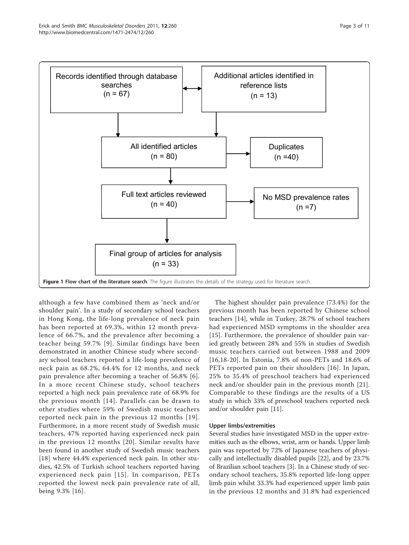<span id="page-2-0"></span>

although a few have combined them as 'neck and/or shoulder pain'. In a study of secondary school teachers in Hong Kong, the life-long prevalence of neck pain has been reported at 69.3%, within 12 month prevalence of 66.7%, and the prevalence after becoming a teacher being 59.7% [[9](#page-10-0)]. Similar findings have been demonstrated in another Chinese study where secondary school teachers reported a life-long prevalence of neck pain as 68.2%, 64.4% for 12 months, and neck pain prevalence after becoming a teacher of 56.8% [[6](#page-10-0)]. In a more recent Chinese study, school teachers reported a high neck pain prevalence rate of 68.9% for the previous month [[14\]](#page-10-0). Parallels can be drawn to other studies where 59% of Swedish music teachers reported neck pain in the previous 12 months [[19\]](#page-10-0). Furthermore, in a more recent study of Swedish music teachers, 47% reported having experienced neck pain in the previous 12 months [\[20\]](#page-10-0). Similar results have been found in another study of Swedish music teachers [[18](#page-10-0)] where 44.4% experienced neck pain. In other studies, 42.5% of Turkish school teachers reported having experienced neck pain [[15](#page-10-0)]. In comparison, PETs reported the lowest neck pain prevalence rate of all, being 9.3% [\[16](#page-10-0)].

The highest shoulder pain prevalence (73.4%) for the previous month has been reported by Chinese school teachers [\[14](#page-10-0)], while in Turkey, 28.7% of school teachers had experienced MSD symptoms in the shoulder area [[15\]](#page-10-0). Furthermore, the prevalence of shoulder pain varied greatly between 28% and 55% in studies of Swedish music teachers carried out between 1988 and 2009 [[16](#page-10-0),[18-20\]](#page-10-0). In Estonia, 7.8% of non-PETs and 18.6% of PETs reported pain on their shoulders [[16\]](#page-10-0). In Japan, 25% to 35.4% of preschool teachers had experienced neck and/or shoulder pain in the previous month [[21](#page-10-0)]. Comparable to these findings are the results of a US study in which 33% of preschool teachers reported neck and/or shoulder pain [[11](#page-10-0)].

#### Upper limbs/extremities

Several studies have investigated MSD in the upper extremities such as the elbows, wrist, arm or hands. Upper limb pain was reported by 72% of Japanese teachers of physically and intellectually disabled pupils [\[22](#page-10-0)], and by 23.7% of Brazilian school teachers [\[3](#page-10-0)]. In a Chinese study of secondary school teachers, 35.8% reported life-long upper limb pain whilst 33.3% had experienced upper limb pain in the previous 12 months and 31.8% had experienced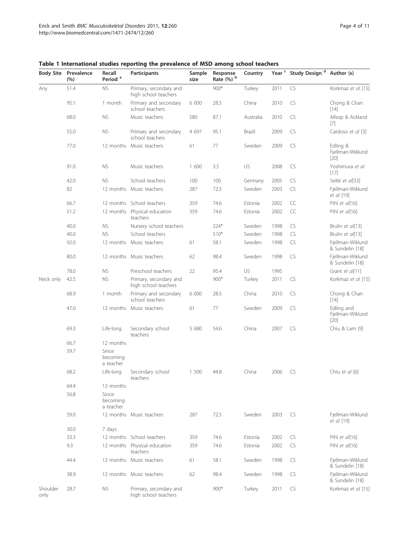| <b>Body Site</b> | Prevalence<br>(%) | Recall<br>Period <sup>a</sup>  | Participants                                   | Sample<br>size | Response<br>Rate (%) b | Country   | Year <sup>c</sup> | Study Design <sup>d</sup> | Author (s)                               |
|------------------|-------------------|--------------------------------|------------------------------------------------|----------------|------------------------|-----------|-------------------|---------------------------|------------------------------------------|
| Any              | 51.4              | <b>NS</b>                      | Primary, secondary and<br>high school teachers |                | $900*$                 | Turkey    | 2011              | CS                        | Korkmaz et al [15]                       |
|                  | 95.1              | 1 month                        | Primary and secondary<br>school teachers       | 6 000          | 28.5                   | China     | 2010              | CS                        | Chong & Chan<br>$[14]$                   |
|                  | 68.0              | <b>NS</b>                      | Music teachers                                 | 580            | 87.1                   | Australia | 2010              | CS                        | Allsop & Ackland<br>[7]                  |
|                  | 55.0              | <b>NS</b>                      | Primary and secondary<br>school teachers       | 4 6 9 7        | 95.1                   | Brazil    | 2009              | CS                        | Cardoso et al [3]                        |
|                  | 77.0              |                                | 12 months Music teachers                       | 61             | 77                     | Sweden    | 2009              | CS                        | Edling &<br>Fjellman-Wiklund<br>$[20]$   |
|                  | 91.0              | <b>NS</b>                      | Music teachers                                 | 1 600          | 3.5                    | US        | 2008              | CS                        | Yoshimura et al<br>$[17]$                |
|                  | 42.0              | <b>NS</b>                      | School teachers                                | 100            | 100                    | Germany   | 2005              | CS                        | Seibt et al[33]                          |
|                  | 82                |                                | 12 months Music teachers                       | 287            | 72.5                   | Sweden    | 2003              | CS                        | Fjellman-Wiklund<br>et al [19]           |
|                  | 66.7              |                                | 12 months School teachers                      | 359            | 74.6                   | Estonia   | 2002              | CC                        | Pihl et al[16]                           |
|                  | 51.2              |                                | 12 months Physical education<br>teachers       | 359            | 74.6                   | Estonia   | 2002              | CC                        | Pihl et al[16]                           |
|                  | 40.0              | <b>NS</b>                      | Nursery school teachers                        |                | $224*$                 | Sweden    | 1998              | CS                        | Brulin et al[13]                         |
|                  | 40.0              | <b>NS</b>                      | School teachers                                |                | $510*$                 | Sweden    | 1998              | CS                        | Brulin et al[13]                         |
|                  | 92.0              |                                | 12 months Music teachers                       | 61             | 58.1                   | Sweden    | 1998              | CS                        | Fjellman-Wiklund<br>& Sundelin [18]      |
|                  | 80.0              |                                | 12 months Music teachers                       | 62             | 98.4                   | Sweden    | 1998              | CS                        | Fjellman-Wiklund<br>& Sundelin [18]      |
|                  | 78.0              | NS.                            | Preschool teachers                             | 22             | 95.4                   | US        | 1995              |                           | Grant et al[11]                          |
| Neck only        | 42.5              | <b>NS</b>                      | Primary, secondary and<br>high school teachers |                | $900*$                 | Turkey    | 2011              | CS                        | Korkmaz et al [15]                       |
|                  | 68.9              | 1 month                        | Primary and secondary<br>school teachers       | 6 000          | 28.5                   | China     | 2010              | CS                        | Chong & Chan<br>$[14]$                   |
|                  | 47.0              |                                | 12 months Music teachers                       | 61             | 77                     | Sweden    | 2009              | CS                        | Edling and<br>Fjellman-Wiklund<br>$[20]$ |
|                  | 69.3              | Life-long                      | Secondary school<br>teachers                   | 5 680          | 54.6                   | China     | 2007              | CS                        | Chiu & Lam [9]                           |
|                  | 66.7              | 12 months                      |                                                |                |                        |           |                   |                           |                                          |
|                  | 59.7              | Since<br>becoming<br>a teacher |                                                |                |                        |           |                   |                           |                                          |
|                  | 68.2              | Life-long                      | Secondary school<br>teachers                   | 1 500          | 44.8                   | China     | 2006              | CS                        | Chiu et al [6]                           |
|                  | 64.4              | 12 months                      |                                                |                |                        |           |                   |                           |                                          |
|                  | 56.8              | Since<br>becoming<br>a teacher |                                                |                |                        |           |                   |                           |                                          |
|                  | 59.0              |                                | 12 months Music teachers                       | 287            | 72.5                   | Sweden    | 2003              | CS                        | Fjellman-Wiklund<br>et al [19]           |
|                  | 30.0              | 7 days                         |                                                |                |                        |           |                   |                           |                                          |
|                  | 33.3              |                                | 12 months School teachers                      | 359            | 74.6                   | Estonia   | 2002              | CS                        | Pihl et al[16]                           |
|                  | 9.3               |                                | 12 months Physical education<br>teachers       | 359            | 74.6                   | Estonia   | 2002              | CS                        | Pihl et al[16]                           |
|                  | 44.4              |                                | 12 months Music teachers                       | 61             | 58.1                   | Sweden    | 1998              | CS                        | Fjellman-Wiklund<br>& Sundelin [18]      |
|                  | 38.9              |                                | 12 months Music teachers                       | 62             | 98.4                   | Sweden    | 1998              | CS                        | Fjellman-Wiklund<br>& Sundelin [18]      |
| Shoulder<br>only | 28.7              | <b>NS</b>                      | Primary, secondary and<br>high school teachers |                | $900*$                 | Turkey    | 2011              | CS                        | Korkmaz et al [15]                       |

## <span id="page-3-0"></span>Table 1 International studies reporting the prevalence of MSD among school teachers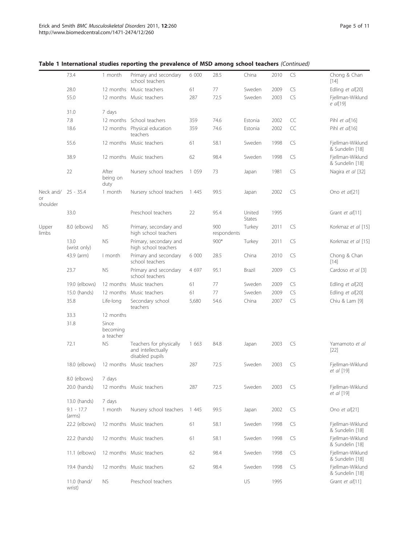|                 | 73.4                   | 1 month                        | Primary and secondary<br>school teachers                         | 6 000   | 28.5               | China            | 2010 | CS        | Chong & Chan<br>$[14]$              |
|-----------------|------------------------|--------------------------------|------------------------------------------------------------------|---------|--------------------|------------------|------|-----------|-------------------------------------|
|                 | 28.0                   | 12 months                      | Music teachers                                                   | 61      | 77                 | Sweden           | 2009 | CS        | Edling et al[20]                    |
|                 | 55.0                   |                                | 12 months Music teachers                                         | 287     | 72.5               | Sweden           | 2003 | CS        | Fjellman-Wiklund<br>e al[19]        |
|                 | 31.0                   | 7 days                         |                                                                  |         |                    |                  |      |           |                                     |
|                 | 7.8                    |                                | 12 months School teachers                                        | 359     | 74.6               | Estonia          | 2002 | CC        | Pihl et al[16]                      |
|                 | 18.6                   |                                | 12 months Physical education<br>teachers                         | 359     | 74.6               | Estonia          | 2002 | CC        | Pihl et al[16]                      |
|                 | 55.6                   |                                | 12 months Music teachers                                         | 61      | 58.1               | Sweden           | 1998 | CS        | Fjellman-Wiklund<br>& Sundelin [18] |
|                 | 38.9                   |                                | 12 months Music teachers                                         | 62      | 98.4               | Sweden           | 1998 | CS        | Fjellman-Wiklund<br>& Sundelin [18] |
|                 | 22                     | After<br>being on<br>duty      | Nursery school teachers                                          | 1 0 5 9 | 73                 | Japan            | 1981 | CS        | Nagira et al [32]                   |
| Neck and/<br>or | $25 - 35.4$            | 1 month                        | Nursery school teachers                                          | 1 4 4 5 | 99.5               | Japan            | 2002 | CS        | Ono et at[21]                       |
| shoulder        | 33.0                   |                                | Preschool teachers                                               | 22      | 95.4               | United           | 1995 |           | Grant et al[11]                     |
| Upper<br>limbs  | 8.0 (elbows)           | <b>NS</b>                      | Primary, secondary and<br>high school teachers                   |         | 900<br>respondents | States<br>Turkey | 2011 | CS        | Korkmaz et al [15]                  |
|                 | 13.0<br>(wrist only)   | <b>NS</b>                      | Primary, secondary and<br>high school teachers                   |         | $900*$             | Turkey           | 2011 | CS        | Korkmaz et al [15]                  |
|                 | 43.9 (arm)             | I month                        | Primary and secondary<br>school teachers                         | 6 000   | 28.5               | China            | 2010 | CS        | Chong & Chan<br>$[14]$              |
|                 | 23.7                   | <b>NS</b>                      | Primary and secondary<br>school teachers                         | 4 6 9 7 | 95.1               | Brazil           | 2009 | CS        | Cardoso et al [3]                   |
|                 | 19.0 (elbows)          | 12 months                      | Music teachers                                                   | 61      | 77                 | Sweden           | 2009 | CS        | Edling et al[20]                    |
|                 | 15.0 (hands)           | 12 months                      | Music teachers                                                   | 61      | 77                 | Sweden           | 2009 | CS        | Edling et al[20]                    |
|                 | 35.8                   | Life-long                      | Secondary school<br>teachers                                     | 5,680   | 54.6               | China            | 2007 | CS        | Chiu & Lam [9]                      |
|                 | 33.3                   | 12 months                      |                                                                  |         |                    |                  |      |           |                                     |
|                 | 31.8                   | Since<br>becoming<br>a teacher |                                                                  |         |                    |                  |      |           |                                     |
|                 | 72.1                   | <b>NS</b>                      | Teachers for physically<br>and intellectually<br>disabled pupils | 1 663   | 84.8               | Japan            | 2003 | CS        | Yamamoto et al<br>$[22]$            |
|                 | 18.0 (elbows)          | 12 months                      | Music teachers                                                   | 287     | 72.5               | Sweden           | 2003 | <b>CS</b> | Fjellman-Wiklund<br>et al [19]      |
|                 | 8.0 (elbows)           | 7 days                         |                                                                  |         |                    |                  |      |           |                                     |
|                 | 20.0 (hands)           |                                | 12 months Music teachers                                         | 287     | 72.5               | Sweden           | 2003 | CS        | Fjellman-Wiklund<br>et al [19]      |
|                 | 13.0 (hands)           | 7 days                         |                                                                  |         |                    |                  |      |           |                                     |
|                 | $9.1 - 17.7$<br>(arms) | 1 month                        | Nursery school teachers                                          | 1 4 4 5 | 99.5               | Japan            | 2002 | CS        | Ono et al[21]                       |
|                 | 22.2 (elbows)          |                                | 12 months Music teachers                                         | 61      | 58.1               | Sweden           | 1998 | CS        | Fjellman-Wiklund<br>& Sundelin [18] |
|                 | 22.2 (hands)           |                                | 12 months Music teachers                                         | 61      | 58.1               | Sweden           | 1998 | CS        | Fjellman-Wiklund<br>& Sundelin [18] |
|                 | $11.1$ (elbows)        |                                | 12 months Music teachers                                         | 62      | 98.4               | Sweden           | 1998 | CS        | Fjellman-Wiklund<br>& Sundelin [18] |
|                 | 19.4 (hands)           |                                | 12 months Music teachers                                         | 62      | 98.4               | Sweden           | 1998 | CS        | Fjellman-Wiklund<br>& Sundelin [18] |
|                 | 11.0 (hand/<br>wrist)  | NS.                            | Preschool teachers                                               |         |                    | US               | 1995 |           | Grant et al[11]                     |

# Table 1 International studies reporting the prevalence of MSD among school teachers (Continued)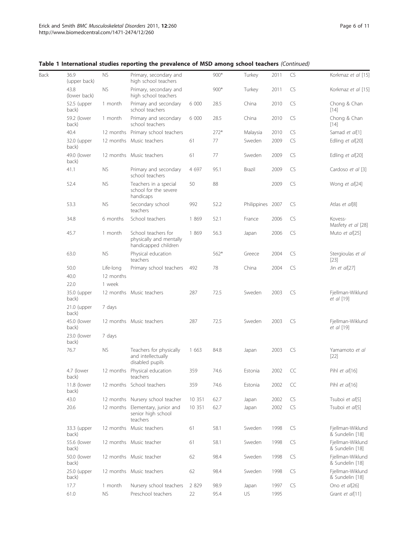|  |  | Table 1 International studies reporting the prevalence of MSD among school teachers (Continued) |  |  |  |  |
|--|--|-------------------------------------------------------------------------------------------------|--|--|--|--|
|--|--|-------------------------------------------------------------------------------------------------|--|--|--|--|

| 36.9<br>(upper back)   | <b>NS</b> | Primary, secondary and<br>high school teachers                         |                                                                                                                                                                                                                                                                                                                                                                                                      | $900*$ | Turkey   | 2011 | CS               | Korkmaz et al [15]                  |
|------------------------|-----------|------------------------------------------------------------------------|------------------------------------------------------------------------------------------------------------------------------------------------------------------------------------------------------------------------------------------------------------------------------------------------------------------------------------------------------------------------------------------------------|--------|----------|------|------------------|-------------------------------------|
| 43.8<br>(lower back)   | <b>NS</b> | Primary, secondary and<br>high school teachers                         |                                                                                                                                                                                                                                                                                                                                                                                                      | $900*$ | Turkey   | 2011 | CS               | Korkmaz et al [15]                  |
| 52.5 (upper<br>back)   | 1 month   | Primary and secondary<br>school teachers                               | 6 000                                                                                                                                                                                                                                                                                                                                                                                                | 28.5   | China    | 2010 | CS               | Chong & Chan<br>$[14]$              |
| 59.2 (lower<br>back)   | 1 month   | Primary and secondary<br>school teachers                               | 6 000                                                                                                                                                                                                                                                                                                                                                                                                | 28.5   | China    | 2010 | CS               | Chong & Chan<br>$[14]$              |
| 40.4                   |           |                                                                        |                                                                                                                                                                                                                                                                                                                                                                                                      | $272*$ | Malaysia | 2010 | CS               | Samad et al[1]                      |
| 32.0 (upper<br>back)   |           |                                                                        | 61                                                                                                                                                                                                                                                                                                                                                                                                   | 77     | Sweden   | 2009 | CS               | Edling et al[20]                    |
| 49.0 (lower<br>back)   |           |                                                                        | 61                                                                                                                                                                                                                                                                                                                                                                                                   | 77     | Sweden   | 2009 | CS               | Edling et al[20]                    |
| 41.1                   | <b>NS</b> | Primary and secondary<br>school teachers                               | 4 6 9 7                                                                                                                                                                                                                                                                                                                                                                                              | 95.1   | Brazil   | 2009 | CS               | Cardoso et al [3]                   |
| 52.4                   | <b>NS</b> | Teachers in a special<br>school for the severe<br>handicaps            | 50                                                                                                                                                                                                                                                                                                                                                                                                   | 88     |          | 2009 | CS               | Wong et al[24]                      |
| 53.3                   | <b>NS</b> | Secondary school<br>teachers                                           | 992                                                                                                                                                                                                                                                                                                                                                                                                  | 52.2   |          |      | CS               | Atlas et al[8]                      |
| 34.8                   | 6 months  | School teachers                                                        | 1 8 6 9                                                                                                                                                                                                                                                                                                                                                                                              | 52.1   | France   | 2006 | CS               | Kovess-<br>Masfety et al [28]       |
| 45.7                   | 1 month   | School teachers for<br>physically and mentally<br>handicapped children | 1 8 6 9                                                                                                                                                                                                                                                                                                                                                                                              | 56.3   | Japan    | 2006 | CS               | Muto et al[25]                      |
| 63.0                   | <b>NS</b> | Physical education<br>teachers                                         |                                                                                                                                                                                                                                                                                                                                                                                                      | $562*$ | Greece   | 2004 | CS               | Stergioulas et al<br>$[23]$         |
| 50.0                   | Life-long | Primary school teachers                                                | 492                                                                                                                                                                                                                                                                                                                                                                                                  | 78     | China    | 2004 | <b>CS</b>        | Jin et $a/[27]$                     |
| 40.0                   | 12 months |                                                                        |                                                                                                                                                                                                                                                                                                                                                                                                      |        |          |      |                  |                                     |
| 22.0                   | 1 week    |                                                                        |                                                                                                                                                                                                                                                                                                                                                                                                      |        |          |      |                  |                                     |
| 35.0 (upper<br>back)   |           |                                                                        | 287                                                                                                                                                                                                                                                                                                                                                                                                  | 72.5   | Sweden   | 2003 | CS               | Fjellman-Wiklund<br>et al [19]      |
| $21.0$ (upper<br>back) | 7 days    |                                                                        |                                                                                                                                                                                                                                                                                                                                                                                                      |        |          |      |                  |                                     |
| 45.0 (lower<br>back)   |           |                                                                        | 287                                                                                                                                                                                                                                                                                                                                                                                                  | 72.5   | Sweden   | 2003 | CS               | Fjellman-Wiklund<br>et al [19]      |
| 23.0 (lower<br>back)   | 7 days    |                                                                        |                                                                                                                                                                                                                                                                                                                                                                                                      |        |          |      |                  |                                     |
| 76.7                   | <b>NS</b> | Teachers for physically<br>and intellectually<br>disabled pupils       | 1 663                                                                                                                                                                                                                                                                                                                                                                                                | 84.8   | Japan    | 2003 | CS               | Yamamoto et al<br>$[22]$            |
| 4.7 (lower<br>back)    |           | teachers                                                               | 359                                                                                                                                                                                                                                                                                                                                                                                                  | 74.6   | Estonia  | 2002 | CC               | Pihl et al[16]                      |
| 11.8 (lower<br>back)   |           |                                                                        | 359                                                                                                                                                                                                                                                                                                                                                                                                  | 74.6   | Estonia  | 2002 | CC               | Pihl et al[16]                      |
| 43.0                   |           |                                                                        | 10 351                                                                                                                                                                                                                                                                                                                                                                                               | 62.7   | Japan    | 2002 | CS               | Tsuboi et al[5]                     |
| 20.6                   |           | senior high school<br>teachers                                         | 10 351                                                                                                                                                                                                                                                                                                                                                                                               | 62.7   | Japan    | 2002 | CS               | Tsuboi et al[5]                     |
| 33.3 (upper<br>back)   |           |                                                                        | 61                                                                                                                                                                                                                                                                                                                                                                                                   | 58.1   | Sweden   | 1998 | CS               | Fjellman-Wiklund<br>& Sundelin [18] |
| 55.6 (lower<br>back)   |           |                                                                        | 61                                                                                                                                                                                                                                                                                                                                                                                                   | 58.1   | Sweden   | 1998 | CS               | Fjellman-Wiklund<br>& Sundelin [18] |
| 50.0 (lower<br>back)   |           |                                                                        | 62                                                                                                                                                                                                                                                                                                                                                                                                   | 98.4   | Sweden   | 1998 | CS               | Fjellman-Wiklund<br>& Sundelin [18] |
| 25.0 (upper<br>back)   |           |                                                                        | 62                                                                                                                                                                                                                                                                                                                                                                                                   | 98.4   | Sweden   | 1998 | CS               | Fjellman-Wiklund<br>& Sundelin [18] |
| 17.7                   | 1 month   | Nursery school teachers                                                | 2 8 2 9                                                                                                                                                                                                                                                                                                                                                                                              | 98.9   | Japan    | 1997 | CS               | Ono et al[26]                       |
| 61.0                   | <b>NS</b> | Preschool teachers                                                     | 22                                                                                                                                                                                                                                                                                                                                                                                                   | 95.4   | US       | 1995 |                  | Grant et al[11]                     |
|                        |           |                                                                        | 12 months Primary school teachers<br>12 months Music teachers<br>12 months Music teachers<br>12 months Music teachers<br>12 months Music teachers<br>12 months Physical education<br>12 months School teachers<br>12 months Nursery school teacher<br>12 months Elementary, junior and<br>12 months Music teachers<br>12 months Music teacher<br>12 months Music teacher<br>12 months Music teachers |        |          |      | Philippines 2007 |                                     |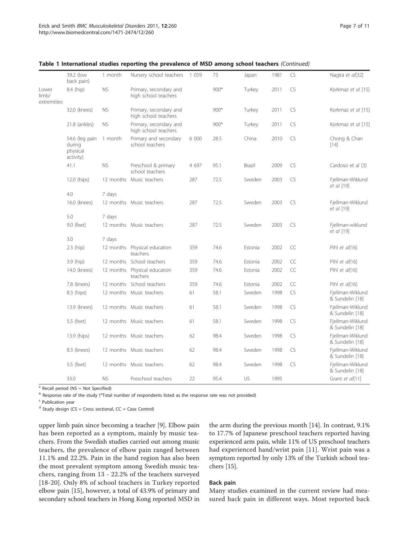|                               | 39.2 (low<br>back pain)                           | 1 month   | Nursery school teachers                        | 1 0 5 9 | 73     | Japan   | 1981 | CS | Nagira et al[32]                    |
|-------------------------------|---------------------------------------------------|-----------|------------------------------------------------|---------|--------|---------|------|----|-------------------------------------|
| Lower<br>limb/<br>extremities | 8.4 (hip)                                         | <b>NS</b> | Primary, secondary and<br>high school teachers |         | $900*$ | Turkey  | 2011 | CS | Korkmaz et al [15]                  |
|                               | 32.0 (knees)                                      | <b>NS</b> | Primary, secondary and<br>high school teachers |         | $900*$ | Turkey  | 2011 | CS | Korkmaz et al [15]                  |
|                               | 21.8 (ankles)                                     | <b>NS</b> | Primary, secondary and<br>high school teachers |         | $900*$ | Turkey  | 2011 | CS | Korkmaz et al [15]                  |
|                               | 54.6 (leg pain<br>during<br>physical<br>activity) | 1 month   | Primary and secondary<br>school teachers       | 6 000   | 28.5   | China   | 2010 | CS | Chong & Chan<br>$[14]$              |
|                               | 41.1                                              | <b>NS</b> | Preschool & primary<br>school teachers         | 4 6 9 7 | 95.1   | Brazil  | 2009 | CS | Cardoso et al [3]                   |
|                               | 12.0 (hips)                                       |           | 12 months Music teachers                       | 287     | 72.5   | Sweden  | 2003 | CS | Fjellman-Wiklund<br>et al [19]      |
|                               | 4.0                                               | 7 days    |                                                |         |        |         |      |    |                                     |
|                               | 16.0 (knees)                                      |           | 12 months Music teachers                       | 287     | 72.5   | Sweden  | 2003 | CS | Fjellman-Wiklund<br>et al [19]      |
|                               | 5.0                                               | 7 days    |                                                |         |        |         |      |    |                                     |
|                               | 9.0 (feet)                                        |           | 12 months Music teachers                       | 287     | 72.5   | Sweden  | 2003 | CS | Fjellman-wiklund<br>et al [19]      |
|                               | 3.0                                               | 7 days    |                                                |         |        |         |      |    |                                     |
|                               | $2.3$ (hip)                                       |           | 12 months Physical education<br>teachers       | 359     | 74.6   | Estonia | 2002 | CC | Pihl et al[16]                      |
|                               | 3.9 (hip)                                         |           | 12 months School teachers                      | 359     | 74.6   | Estonia | 2002 | CC | Pihl et al[16]                      |
|                               | 14.0 (knees)                                      |           | 12 months Physical education<br>teachers       | 359     | 74.6   | Estonia | 2002 | CC | Pihl et al[16]                      |
|                               | 7.8 (knees)                                       |           | 12 months School teachers                      | 359     | 74.6   | Estonia | 2002 | CC | Pihl et al[16]                      |
|                               | 8.3 (hips)                                        |           | 12 months Music teachers                       | 61      | 58.1   | Sweden  | 1998 | CS | Fjellman-Wiklund<br>& Sundelin [18] |
|                               | 13.9 (knees)                                      |           | 12 months Music teachers                       | 61      | 58.1   | Sweden  | 1998 | CS | Fjellman-Wiklund<br>& Sundelin [18] |
|                               | 5.5 (feet)                                        |           | 12 months Music teachers                       | 61      | 58.1   | Sweden  | 1998 | CS | Fjellman-Wiklund<br>& Sundelin [18] |
|                               | 13.9 (hips)                                       |           | 12 months Music teachers                       | 62      | 98.4   | Sweden  | 1998 | CS | Fjellman-Wiklund<br>& Sundelin [18] |
|                               | 8.3 (knees)                                       |           | 12 months Music teachers                       | 62      | 98.4   | Sweden  | 1998 | CS | Fjellman-Wiklund<br>& Sundelin [18] |
|                               | 5.5 (feet)                                        |           | 12 months Music teachers                       | 62      | 98.4   | Sweden  | 1998 | CS | Fjellman-Wiklund<br>& Sundelin [18] |
|                               | 33.0                                              | <b>NS</b> | Preschool teachers                             | 22      | 95.4   | US      | 1995 |    | Grant et al[11]                     |

#### Table 1 International studies reporting the prevalence of MSD among school teachers (Continued)

 $a$  Recall period (NS = Not Specified)

<sup>b</sup> Response rate of the study (\*Total number of respondents listed as the response rate was not provided)

<sup>c</sup> Publication year

 $d$  Study design (CS = Cross sectional, CC = Case Control)

upper limb pain since becoming a teacher [\[9](#page-10-0)]. Elbow pain has been reported as a symptom, mainly by music teachers. From the Swedish studies carried out among music teachers, the prevalence of elbow pain ranged between 11.1% and 22.2%. Pain in the hand region has also been the most prevalent symptom among Swedish music teachers, ranging from 13 - 22.2% of the teachers surveyed [[18](#page-10-0)-[20\]](#page-10-0). Only 8% of school teachers in Turkey reported elbow pain [\[15\]](#page-10-0), however, a total of 43.9% of primary and secondary school teachers in Hong Kong reported MSD in

the arm during the previous month [\[14](#page-10-0)]. In contrast, 9.1% to 17.7% of Japanese preschool teachers reported having experienced arm pain, while 11% of US preschool teachers had experienced hand/wrist pain [[11](#page-10-0)]. Wrist pain was a symptom reported by only 13% of the Turkish school teachers [\[15](#page-10-0)].

#### Back pain

Many studies examined in the current review had measured back pain in different ways. Most reported back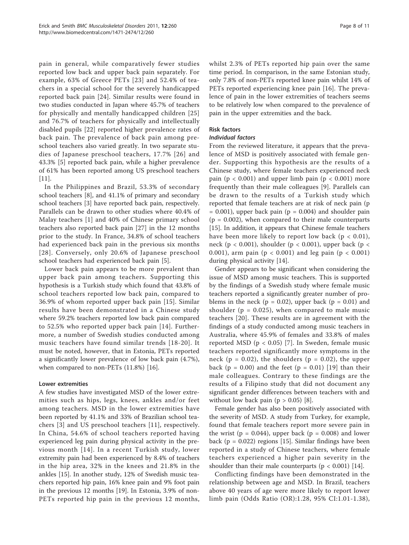pain in general, while comparatively fewer studies reported low back and upper back pain separately. For example, 63% of Greece PETs [[23](#page-10-0)] and 52.4% of teachers in a special school for the severely handicapped reported back pain [[24](#page-10-0)]. Similar results were found in two studies conducted in Japan where 45.7% of teachers for physically and mentally handicapped children [[25](#page-10-0)] and 76.7% of teachers for physically and intellectually disabled pupils [[22\]](#page-10-0) reported higher prevalence rates of back pain. The prevalence of back pain among preschool teachers also varied greatly. In two separate studies of Japanese preschool teachers, 17.7% [[26](#page-10-0)] and 43.3% [\[5](#page-10-0)] reported back pain, while a higher prevalence of 61% has been reported among US preschool teachers [[11\]](#page-10-0).

In the Philippines and Brazil, 53.3% of secondary school teachers [\[8](#page-10-0)], and 41.1% of primary and secondary school teachers [[3\]](#page-10-0) have reported back pain, respectively. Parallels can be drawn to other studies where 40.4% of Malay teachers [[1](#page-10-0)] and 40% of Chinese primary school teachers also reported back pain [[27\]](#page-10-0) in the 12 months prior to the study. In France, 34.8% of school teachers had experienced back pain in the previous six months [[28](#page-10-0)]. Conversely, only 20.6% of Japanese preschool school teachers had experienced back pain [[5](#page-10-0)].

Lower back pain appears to be more prevalent than upper back pain among teachers. Supporting this hypothesis is a Turkish study which found that 43.8% of school teachers reported low back pain, compared to 36.9% of whom reported upper back pain [\[15\]](#page-10-0). Similar results have been demonstrated in a Chinese study where 59.2% teachers reported low back pain compared to 52.5% who reported upper back pain [\[14\]](#page-10-0). Furthermore, a number of Swedish studies conducted among music teachers have found similar trends [[18](#page-10-0)-[20\]](#page-10-0). It must be noted, however, that in Estonia, PETs reported a significantly lower prevalence of low back pain (4.7%), when compared to non-PETs (11.8%) [\[16\]](#page-10-0).

#### Lower extremities

A few studies have investigated MSD of the lower extremities such as hips, legs, knees, ankles and/or feet among teachers. MSD in the lower extremities have been reported by 41.1% and 33% of Brazilian school teachers [[3](#page-10-0)] and US preschool teachers [\[11\]](#page-10-0), respectively. In China, 54.6% of school teachers reported having experienced leg pain during physical activity in the previous month [[14\]](#page-10-0). In a recent Turkish study, lower extremity pain had been experienced by 8.4% of teachers in the hip area, 32% in the knees and 21.8% in the ankles [\[15](#page-10-0)]. In another study, 12% of Swedish music teachers reported hip pain, 16% knee pain and 9% foot pain in the previous 12 months [\[19\]](#page-10-0). In Estonia, 3.9% of non-PETs reported hip pain in the previous 12 months, whilst 2.3% of PETs reported hip pain over the same time period. In comparison, in the same Estonian study, only 7.8% of non-PETs reported knee pain whilst 14% of PETs reported experiencing knee pain [\[16](#page-10-0)]. The prevalence of pain in the lower extremities of teachers seems to be relatively low when compared to the prevalence of pain in the upper extremities and the back.

#### Risk factors

#### Individual factors

From the reviewed literature, it appears that the prevalence of MSD is positively associated with female gender. Supporting this hypothesis are the results of a Chinese study, where female teachers experienced neck pain ( $p < 0.001$ ) and upper limb pain ( $p < 0.001$ ) more frequently than their male colleagues [[9\]](#page-10-0). Parallels can be drawn to the results of a Turkish study which reported that female teachers are at risk of neck pain (p  $= 0.001$ ), upper back pain (p  $= 0.004$ ) and shoulder pain  $(p = 0.002)$ , when compared to their male counterparts [[15\]](#page-10-0). In addition, it appears that Chinese female teachers have been more likely to report low back ( $p < 0.01$ ), neck (p < 0.001), shoulder (p < 0.001), upper back (p < 0.001), arm pain ( $p < 0.001$ ) and leg pain ( $p < 0.001$ ) during physical activity [[14\]](#page-10-0).

Gender appears to be significant when considering the issue of MSD among music teachers. This is supported by the findings of a Swedish study where female music teachers reported a significantly greater number of problems in the neck ( $p = 0.02$ ), upper back ( $p = 0.01$ ) and shoulder ( $p = 0.025$ ), when compared to male music teachers [[20\]](#page-10-0). These results are in agreement with the findings of a study conducted among music teachers in Australia, where 45.9% of females and 33.8% of males reported MSD ( $p < 0.05$ ) [[7](#page-10-0)]. In Sweden, female music teachers reported significantly more symptoms in the neck ( $p = 0.02$ ), the shoulders ( $p = 0.02$ ), the upper back ( $p = 0.00$ ) and the feet ( $p = 0.01$ ) [[19](#page-10-0)] than their male colleagues. Contrary to these findings are the results of a Filipino study that did not document any significant gender differences between teachers with and without low back pain  $(p > 0.05)$  [\[8](#page-10-0)].

Female gender has also been positively associated with the severity of MSD. A study from Turkey, for example, found that female teachers report more severe pain in the wrist ( $p = 0.044$ ), upper back ( $p = 0.008$ ) and lower back ( $p = 0.022$ ) regions [\[15](#page-10-0)]. Similar findings have been reported in a study of Chinese teachers, where female teachers experienced a higher pain severity in the shoulder than their male counterparts ( $p < 0.001$ ) [[14](#page-10-0)].

Conflicting findings have been demonstrated in the relationship between age and MSD. In Brazil, teachers above 40 years of age were more likely to report lower limb pain (Odds Ratio (OR):1.28, 95% CI:1.01-1.38),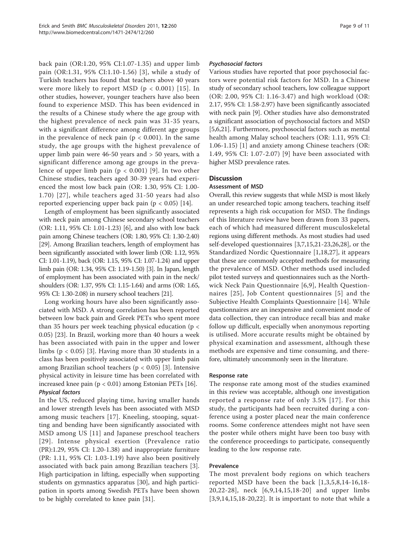back pain (OR:1.20, 95% CI:1.07-1.35) and upper limb pain (OR:1.31, 95% CI:1.10-1.56) [\[3\]](#page-10-0), while a study of Turkish teachers has found that teachers above 40 years were more likely to report MSD ( $p < 0.001$ ) [[15\]](#page-10-0). In other studies, however, younger teachers have also been found to experience MSD. This has been evidenced in the results of a Chinese study where the age group with the highest prevalence of neck pain was 31-35 years, with a significant difference among different age groups in the prevalence of neck pain ( $p < 0.001$ ). In the same study, the age groups with the highest prevalence of upper limb pain were 46-50 years and > 50 years, with a significant difference among age groups in the prevalence of upper limb pain  $(p < 0.001)$  [[9\]](#page-10-0). In two other Chinese studies, teachers aged 30-39 years had experienced the most low back pain (OR: 1.30, 95% CI: 1.00- 1.70) [[27\]](#page-10-0), while teachers aged 31-50 years had also reported experiencing upper back pain ( $p < 0.05$ ) [[14](#page-10-0)].

Length of employment has been significantly associated with neck pain among Chinese secondary school teachers (OR: 1.11, 95% CI: 1.01-1.23) [[6\]](#page-10-0), and also with low back pain among Chinese teachers (OR: 1.80, 95% CI: 1.30-2.40) [[29](#page-10-0)]. Among Brazilian teachers, length of employment has been significantly associated with lower limb (OR: 1.12, 95% CI: 1.01-1.19), back (OR: 1.15, 95% CI: 1.07-1.24) and upper limb pain (OR: 1.34, 95% CI: 1.19-1.50) [\[3\]](#page-10-0). In Japan, length of employment has been associated with pain in the neck/ shoulders (OR: 1.37, 95% CI: 1.15-1.64) and arms (OR: 1.65, 95% CI: 1.30-2.08) in nursery school teachers [\[21](#page-10-0)].

Long working hours have also been significantly associated with MSD. A strong correlation has been reported between low back pain and Greek PETs who spent more than 35 hours per week teaching physical education (p < 0.05) [[23\]](#page-10-0). In Brazil, working more than 40 hours a week has been associated with pain in the upper and lower limbs  $(p < 0.05)$  [[3\]](#page-10-0). Having more than 30 students in a class has been positively associated with upper limb pain among Brazilian school teachers ( $p < 0.05$ ) [[3\]](#page-10-0). Intensive physical activity in leisure time has been correlated with increased knee pain  $(p < 0.01)$  among Estonian PETs [\[16](#page-10-0)]. Physical factors

In the US, reduced playing time, having smaller hands and lower strength levels has been associated with MSD among music teachers [\[17](#page-10-0)]. Kneeling, stooping, squatting and bending have been significantly associated with MSD among US [[11](#page-10-0)] and Japanese preschool teachers [[29](#page-10-0)]. Intense physical exertion (Prevalence ratio (PR):1.29, 95% CI: 1.20-1.38) and inappropriate furniture (PR: 1.11, 95% CI: 1.03-1.19) have also been positively associated with back pain among Brazilian teachers [[3](#page-10-0)]. High participation in lifting, especially when supporting students on gymnastics apparatus [[30\]](#page-10-0), and high participation in sports among Swedish PETs have been shown to be highly correlated to knee pain [[31](#page-10-0)].

#### Psychosocial factors

Various studies have reported that poor psychosocial factors were potential risk factors for MSD. In a Chinese study of secondary school teachers, low colleague support (OR: 2.00, 95% CI: 1.16-3.47) and high workload (OR: 2.17, 95% CI: 1.58-2.97) have been significantly associated with neck pain [\[9\]](#page-10-0). Other studies have also demonstrated a significant association of psychosocial factors and MSD [[5,6,21](#page-10-0)]. Furthermore, psychosocial factors such as mental health among Malay school teachers (OR: 1.11, 95% CI: 1.06-1.15) [\[1](#page-10-0)] and anxiety among Chinese teachers (OR: 1.49, 95% CI: 1.07-2.07) [[9\]](#page-10-0) have been associated with higher MSD prevalence rates.

#### **Discussion**

#### Assessment of MSD

Overall, this review suggests that while MSD is most likely an under researched topic among teachers, teaching itself represents a high risk occupation for MSD. The findings of this literature review have been drawn from 33 papers, each of which had measured different musculoskeletal regions using different methods. As most studies had used self-developed questionnaires [[3,7,15,21](#page-10-0)-[23](#page-10-0),[26,28\]](#page-10-0), or the Standardized Nordic Questionnaire [[1,18,27](#page-10-0)], it appears that these are commonly accepted methods for measuring the prevalence of MSD. Other methods used included pilot tested surveys and questionnaires such as the Northwick Neck Pain Questionnaire [[6](#page-10-0),[9\]](#page-10-0), Health Questionnaires [[25\]](#page-10-0), Job Content questionnaires [[5\]](#page-10-0) and the Subjective Health Complaints Questionnaire [\[14](#page-10-0)]. While questionnaires are an inexpensive and convenient mode of data collection, they can introduce recall bias and make follow up difficult, especially when anonymous reporting is utilised. More accurate results might be obtained by physical examination and assessment, although these methods are expensive and time consuming, and therefore, ultimately uncommonly seen in the literature.

#### Response rate

The response rate among most of the studies examined in this review was acceptable, although one investigation reported a response rate of only 3.5% [[17\]](#page-10-0). For this study, the participants had been recruited during a conference using a poster placed near the main conference rooms. Some conference attendees might not have seen the poster while others might have been too busy with the conference proceedings to participate, consequently leading to the low response rate.

#### Prevalence

The most prevalent body regions on which teachers reported MSD have been the back [[1](#page-10-0),[3](#page-10-0),[5,8](#page-10-0),[14](#page-10-0)-[16](#page-10-0),[18](#page-10-0)- [20,22-28](#page-10-0)], neck [[6](#page-10-0),[9,14,15](#page-10-0),[18](#page-10-0)-[20](#page-10-0)] and upper limbs [[3,9](#page-10-0),[14,15,18](#page-10-0)-[20,22](#page-10-0)]. It is important to note that while a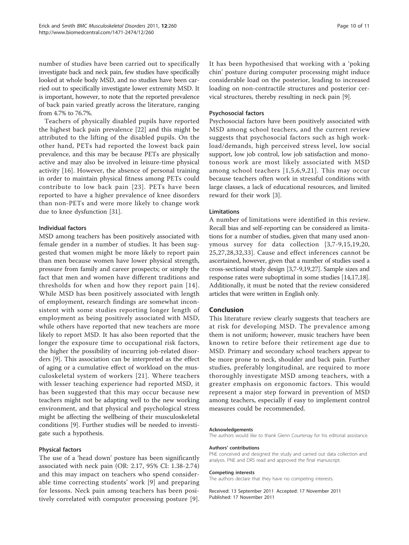number of studies have been carried out to specifically investigate back and neck pain, few studies have specifically looked at whole body MSD, and no studies have been carried out to specifically investigate lower extremity MSD. It is important, however, to note that the reported prevalence of back pain varied greatly across the literature, ranging from 4.7% to 76.7%.

Teachers of physically disabled pupils have reported the highest back pain prevalence [[22\]](#page-10-0) and this might be attributed to the lifting of the disabled pupils. On the other hand, PETs had reported the lowest back pain prevalence, and this may be because PETs are physically active and may also be involved in leisure-time physical activity [\[16](#page-10-0)]. However, the absence of personal training in order to maintain physical fitness among PETs could contribute to low back pain [[23](#page-10-0)]. PETs have been reported to have a higher prevalence of knee disorders than non-PETs and were more likely to change work due to knee dysfunction [\[31](#page-10-0)].

#### Individual factors

MSD among teachers has been positively associated with female gender in a number of studies. It has been suggested that women might be more likely to report pain than men because women have lower physical strength, pressure from family and career prospects; or simply the fact that men and women have different traditions and thresholds for when and how they report pain [[14\]](#page-10-0). While MSD has been positively associated with length of employment, research findings are somewhat inconsistent with some studies reporting longer length of employment as being positively associated with MSD, while others have reported that new teachers are more likely to report MSD. It has also been reported that the longer the exposure time to occupational risk factors, the higher the possibility of incurring job-related disorders [\[9\]](#page-10-0). This association can be interpreted as the effect of aging or a cumulative effect of workload on the musculoskeletal system of workers [[21](#page-10-0)]. Where teachers with lesser teaching experience had reported MSD, it has been suggested that this may occur because new teachers might not be adapting well to the new working environment, and that physical and psychological stress might be affecting the wellbeing of their musculoskeletal conditions [\[9\]](#page-10-0). Further studies will be needed to investigate such a hypothesis.

#### Physical factors

The use of a 'head down' posture has been significantly associated with neck pain (OR: 2.17, 95% CI: 1.38-2.74) and this may impact on teachers who spend considerable time correcting students' work [[9](#page-10-0)] and preparing for lessons. Neck pain among teachers has been positively correlated with computer processing posture [[9](#page-10-0)]. It has been hypothesised that working with a 'poking chin' posture during computer processing might induce considerable load on the posterior, leading to increased loading on non-contractile structures and posterior cervical structures, thereby resulting in neck pain [[9\]](#page-10-0).

#### Psychosocial factors

Psychosocial factors have been positively associated with MSD among school teachers, and the current review suggests that psychosocial factors such as high workload/demands, high perceived stress level, low social support, low job control, low job satisfaction and monotonous work are most likely associated with MSD among school teachers [[1,5,6,9,21](#page-10-0)]. This may occur because teachers often work in stressful conditions with large classes, a lack of educational resources, and limited reward for their work [\[3\]](#page-10-0).

#### Limitations

A number of limitations were identified in this review. Recall bias and self-reporting can be considered as limitations for a number of studies, given that many used anonymous survey for data collection [[3](#page-10-0),[7-9,15,19,20](#page-10-0), [25,27,28](#page-10-0),[32,33\]](#page-10-0). Cause and effect inferences cannot be ascertained, however, given that a number of studies used a cross-sectional study design [[3,7](#page-10-0)-[9,19,27](#page-10-0)]. Sample sizes and response rates were suboptimal in some studies [[14,17,18](#page-10-0)]. Additionally, it must be noted that the review considered articles that were written in English only.

#### Conclusion

This literature review clearly suggests that teachers are at risk for developing MSD. The prevalence among them is not uniform; however, music teachers have been known to retire before their retirement age due to MSD. Primary and secondary school teachers appear to be more prone to neck, shoulder and back pain. Further studies, preferably longitudinal, are required to more thoroughly investigate MSD among teachers, with a greater emphasis on ergonomic factors. This would represent a major step forward in prevention of MSD among teachers, especially if easy to implement control measures could be recommended.

#### Acknowledgements

The authors would like to thank Glenn Courtenay for his editorial assistance.

#### Authors' contributions

PNE conceived and designed the study and carried out data collection and analysis. PNE and DRS read and approved the final manuscript.

#### Competing interests

The authors declare that they have no competing interests.

Received: 13 September 2011 Accepted: 17 November 2011 Published: 17 November 2011